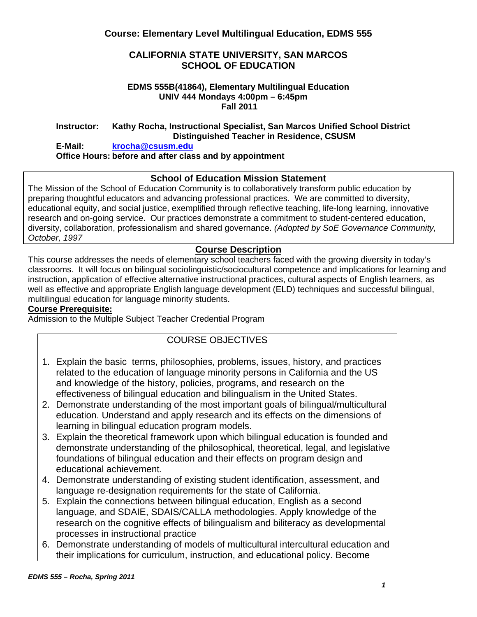## **CALIFORNIA STATE UNIVERSITY, SAN MARCOS SCHOOL OF EDUCATION**

#### **EDMS 555B(41864), Elementary Multilingual Education UNIV 444 Mondays 4:00pm – 6:45pm Fall 2011**

#### **Instructor: Kathy Rocha, Instructional Specialist, San Marcos Unified School District Distinguished Teacher in Residence, CSUSM**

#### **E-Mail: krocha@csusm.edu Office Hours: before and after class and by appointment**

## **School of Education Mission Statement**

The Mission of the School of Education Community is to collaboratively transform public education by preparing thoughtful educators and advancing professional practices. We are committed to diversity, educational equity, and social justice, exemplified through reflective teaching, life-long learning, innovative research and on-going service. Our practices demonstrate a commitment to student-centered education, diversity, collaboration, professionalism and shared governance. *(Adopted by SoE Governance Community, October, 1997* 

## **Course Description**

 instruction, application of effective alternative instructional practices, cultural aspects of English learners, as This course addresses the needs of elementary school teachers faced with the growing diversity in today's classrooms. It will focus on bilingual sociolinguistic/sociocultural competence and implications for learning and well as effective and appropriate English language development (ELD) techniques and successful bilingual, multilingual education for language minority students.

#### **Course Prerequisite:**

Admission to the Multiple Subject Teacher Credential Program

## COURSE OBJECTIVES

- 1. Explain the basic terms, philosophies, problems, issues, history, and practices related to the education of language minority persons in California and the US and knowledge of the history, policies, programs, and research on the effectiveness of bilingual education and bilingualism in the United States.
- 2. Demonstrate understanding of the most important goals of bilingual/multicultural education. Understand and apply research and its effects on the dimensions of learning in bilingual education program models.
- 3. Explain the theoretical framework upon which bilingual education is founded and demonstrate understanding of the philosophical, theoretical, legal, and legislative foundations of bilingual education and their effects on program design and educational achievement.
- 4. Demonstrate understanding of existing student identification, assessment, and language re-designation requirements for the state of California.
- 5. Explain the connections between bilingual education, English as a second language, and SDAIE, SDAIS/CALLA methodologies. Apply knowledge of the research on the cognitive effects of bilingualism and biliteracy as developmental processes in instructional practice
- 6. Demonstrate understanding of models of multicultural intercultural education and their implications for curriculum, instruction, and educational policy. Become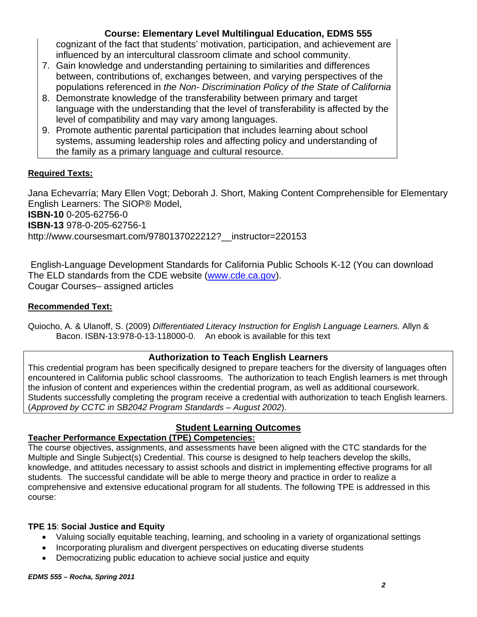cognizant of the fact that students' motivation, participation, and achievement are influenced by an intercultural classroom climate and school community.

- 7. Gain knowledge and understanding pertaining to similarities and differences between, contributions of, exchanges between, and varying perspectives of the populations referenced in *the Non- Discrimination Policy of the State of California*
- 8. Demonstrate knowledge of the transferability between primary and target language with the understanding that the level of transferability is affected by the level of compatibility and may vary among languages.
- 9. Promote authentic parental participation that includes learning about school systems, assuming leadership roles and affecting policy and understanding of the family as a primary language and cultural resource.

## **Required Texts:**

Jana Echevarría; Mary Ellen Vogt; Deborah J. Short, Making Content Comprehensible for Elementary English Learners: The SIOP® Model, **ISBN-10** 0-205-62756-0 **ISBN-13** 978-0-205-62756-1 http://www.coursesmart.com/9780137022212? instructor=220153

 English-Language Development Standards for California Public Schools K-12 (You can download The ELD standards from the CDE website (www.cde.ca.gov). Cougar Courses– assigned articles

## **Recommended Text:**

 Bacon. ISBN-13:978-0-13-118000-0. An ebook is available for this text Quiocho, A. & Ulanoff, S. (2009) *Differentiated Literacy Instruction for English Language Learners.* Allyn &

## **Authorization to Teach English Learners**

This credential program has been specifically designed to prepare teachers for the diversity of languages often encountered in California public school classrooms. The authorization to teach English learners is met through the infusion of content and experiences within the credential program, as well as additional coursework. Students successfully completing the program receive a credential with authorization to teach English learners. (*Approved by CCTC in SB2042 Program Standards – August 2002*).

# **Student Learning Outcomes**

## **Teacher Performance Expectation (TPE) Competencies:**

The course objectives, assignments, and assessments have been aligned with the CTC standards for the Multiple and Single Subject(s) Credential. This course is designed to help teachers develop the skills, knowledge, and attitudes necessary to assist schools and district in implementing effective programs for all students. The successful candidate will be able to merge theory and practice in order to realize a comprehensive and extensive educational program for all students. The following TPE is addressed in this course:

## **TPE 15**: **Social Justice and Equity**

- Valuing socially equitable teaching, learning, and schooling in a variety of organizational settings
- Incorporating pluralism and divergent perspectives on educating diverse students
- Democratizing public education to achieve social justice and equity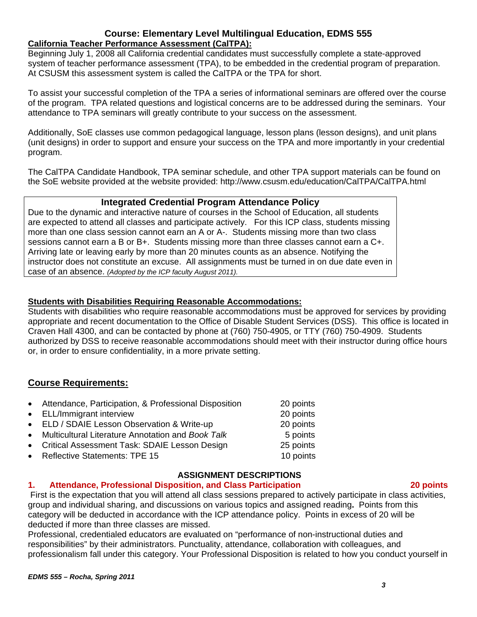#### **Course: Elementary Level Multilingual Education, EDMS 555 California Teacher Performance Assessment (CalTPA):**

system of teacher performance assessment (TPA), to be embedded in the credential program of preparation.<br>At CSUSM this assessment system is called the CalTPA or the TPA for short. Beginning July 1, 2008 all California credential candidates must successfully complete a state-approved

To assist your successful completion of the TPA a series of informational seminars are offered over the course of the program. TPA related questions and logistical concerns are to be addressed during the seminars. Your attendance to TPA seminars will greatly contribute to your success on the assessment.

Additionally, SoE classes use common pedagogical language, lesson plans (lesson designs), and unit plans (unit designs) in order to support and ensure your success on the TPA and more importantly in your credential program.

The CalTPA Candidate Handbook, TPA seminar schedule, and other TPA support materials can be found on the SoE website provided at the website provided: http://www.csusm.edu/education/CalTPA/CalTPA.html

## **Integrated Credential Program Attendance Policy**

Due to the dynamic and interactive nature of courses in the School of Education, all students are expected to attend all classes and participate actively. For this ICP class, students missing more than one class session cannot earn an A or A-. Students missing more than two class sessions cannot earn a B or B+. Students missing more than three classes cannot earn a C+. Arriving late or leaving early by more than 20 minutes counts as an absence. Notifying the instructor does not constitute an excuse. All assignments must be turned in on due date even in case of an absence. *(Adopted by the ICP faculty August 2011).* 

## **Students with Disabilities Requiring Reasonable Accommodations:**

Students with disabilities who require reasonable accommodations must be approved for services by providing appropriate and recent documentation to the Office of Disable Student Services (DSS). This office is located in Craven Hall 4300, and can be contacted by phone at (760) 750-4905, or TTY (760) 750-4909. Students authorized by DSS to receive reasonable accommodations should meet with their instructor during office hours or, in order to ensure confidentiality, in a more private setting.

## **Course Requirements:**

| • Attendance, Participation, & Professional Disposition | 20 points |
|---------------------------------------------------------|-----------|
| • ELL/Immigrant interview                               | 20 points |
| • ELD / SDAIE Lesson Observation & Write-up             | 20 points |
| • Multicultural Literature Annotation and Book Talk     | 5 points  |
| • Critical Assessment Task: SDAIE Lesson Design         | 25 points |
| • Reflective Statements: TPE 15                         | 10 points |
|                                                         |           |

## **ASSIGNMENT DESCRIPTIONS**

#### $1<sub>1</sub>$ **1. Attendance, Professional Disposition, and Class Participation 20 points**

 First is the expectation that you will attend all class sessions prepared to actively participate in class activities, group and individual sharing, and discussions on various topics and assigned reading**.** Points from this category will be deducted in accordance with the ICP attendance policy. Points in excess of 20 will be deducted if more than three classes are missed.

Professional, credentialed educators are evaluated on "performance of non-instructional duties and responsibilities" by their administrators. Punctuality, attendance, collaboration with colleagues, and professionalism fall under this category. Your Professional Disposition is related to how you conduct yourself in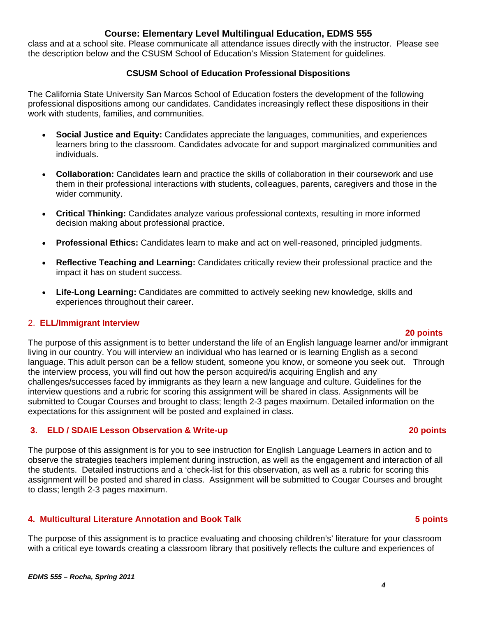*EDMS 555 – Rocha, Spring 2011* 

## **Course: Elementary Level Multilingual Education, EDMS 555**

class and at a school site. Please communicate all attendance issues directly with the instructor. Please see the description below and the CSUSM School of Education's Mission Statement for guidelines.

## **CSUSM School of Education Professional Dispositions**

The California State University San Marcos School of Education fosters the development of the following professional dispositions among our candidates. Candidates increasingly reflect these dispositions in their work with students, families, and communities.

- **Social Justice and Equity:** Candidates appreciate the languages, communities, and experiences learners bring to the classroom. Candidates advocate for and support marginalized communities and individuals.
- **Collaboration:** Candidates learn and practice the skills of collaboration in their coursework and use them in their professional interactions with students, colleagues, parents, caregivers and those in the wider community.
- **Critical Thinking:** Candidates analyze various professional contexts, resulting in more informed decision making about professional practice.
- **Professional Ethics:** Candidates learn to make and act on well-reasoned, principled judgments.
- **Reflective Teaching and Learning:** Candidates critically review their professional practice and the impact it has on student success.
- experiences throughout their career. **Life-Long Learning:** Candidates are committed to actively seeking new knowledge, skills and

#### 2. **ELL/Immigrant Interview**

#### **20 points**

The purpose of this assignment is to better understand the life of an English language learner and/or immigrant living in our country. You will interview an individual who has learned or is learning English as a second language. This adult person can be a fellow student, someone you know, or someone you seek out. Through the interview process, you will find out how the person acquired/is acquiring English and any challenges/successes faced by immigrants as they learn a new language and culture. Guidelines for the interview questions and a rubric for scoring this assignment will be shared in class. Assignments will be submitted to Cougar Courses and brought to class; length 2-3 pages maximum. Detailed information on the expectations for this assignment will be posted and explained in class.

## **3. ELD / SDAIE Lesson Observation & Write-up 20 points**

The purpose of this assignment is for you to see instruction for English Language Learners in action and to observe the strategies teachers implement during instruction, as well as the engagement and interaction of all the students. Detailed instructions and a 'check-list for this observation, as well as a rubric for scoring this assignment will be posted and shared in class. Assignment will be submitted to Cougar Courses and brought to class; length 2-3 pages maximum.

## **4. Multicultural Literature Annotation and Book Talk 5 points**

The purpose of this assignment is to practice evaluating and choosing children's' literature for your classroom with a critical eye towards creating a classroom library that positively reflects the culture and experiences of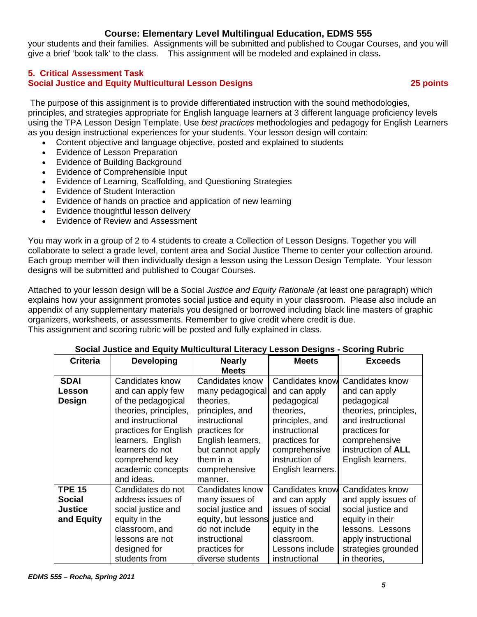your students and their families. Assignments will be submitted and published to Cougar Courses, and you will give a brief 'book talk' to the class. This assignment will be modeled and explained in class**.** 

#### **5. Critical Assessment Task Social Justice and Equity Multicultural Lesson Designs 25 points**

 The purpose of this assignment is to provide differentiated instruction with the sound methodologies, principles, and strategies appropriate for English language learners at 3 different language proficiency levels using the TPA Lesson Design Template. Use *best practices* methodologies and pedagogy for English Learners as you design instructional experiences for your students. Your lesson design will contain:

- Content objective and language objective, posted and explained to students
- Evidence of Lesson Preparation
- Evidence of Building Background
- Evidence of Comprehensible Input
- Evidence of Learning, Scaffolding, and Questioning Strategies
- Evidence of Student Interaction
- Evidence of hands on practice and application of new learning
- Evidence thoughtful lesson delivery
- Evidence of Review and Assessment

You may work in a group of 2 to 4 students to create a Collection of Lesson Designs. Together you will collaborate to select a grade level, content area and Social Justice Theme to center your collection around. Each group member will then individually design a lesson using the Lesson Design Template. Your lesson designs will be submitted and published to Cougar Courses.

Attached to your lesson design will be a Social *Justice and Equity Rationale (*at least one paragraph) which explains how your assignment promotes social justice and equity in your classroom. Please also include an appendix of any supplementary materials you designed or borrowed including black line masters of graphic organizers, worksheets, or assessments. Remember to give credit where credit is due. This assignment and scoring rubric will be posted and fully explained in class.

| oodidi bashoo dha Equity municumum Encravy Ecssoni Dosigns     |                                                                                                                                                                                                                                |                                                                                                                                                                                         |                                                                                                                                                                                  | <b>OUUTHY INDITY</b>                                                                                                                                                              |
|----------------------------------------------------------------|--------------------------------------------------------------------------------------------------------------------------------------------------------------------------------------------------------------------------------|-----------------------------------------------------------------------------------------------------------------------------------------------------------------------------------------|----------------------------------------------------------------------------------------------------------------------------------------------------------------------------------|-----------------------------------------------------------------------------------------------------------------------------------------------------------------------------------|
| <b>Criteria</b>                                                | <b>Developing</b>                                                                                                                                                                                                              | <b>Nearly</b><br><b>Meets</b>                                                                                                                                                           | <b>Meets</b>                                                                                                                                                                     | <b>Exceeds</b>                                                                                                                                                                    |
| <b>SDAI</b><br>Lesson<br><b>Design</b>                         | Candidates know<br>and can apply few<br>of the pedagogical<br>theories, principles,<br>and instructional<br>practices for English<br>learners. English<br>learners do not<br>comprehend key<br>academic concepts<br>and ideas. | Candidates know<br>many pedagogical<br>theories,<br>principles, and<br>instructional<br>practices for<br>English learners,<br>but cannot apply<br>them in a<br>comprehensive<br>manner. | <b>Candidates know</b><br>and can apply<br>pedagogical<br>theories,<br>principles, and<br>instructional<br>practices for<br>comprehensive<br>instruction of<br>English learners. | Candidates know<br>and can apply<br>pedagogical<br>theories, principles,<br>and instructional<br>practices for<br>comprehensive<br>instruction of <b>ALL</b><br>English learners. |
| <b>TPE 15</b><br><b>Social</b><br><b>Justice</b><br>and Equity | Candidates do not<br>address issues of<br>social justice and<br>equity in the<br>classroom, and<br>lessons are not<br>designed for<br>students from                                                                            | Candidates know<br>many issues of<br>social justice and<br>equity, but lessons<br>do not include<br>instructional<br>practices for<br>diverse students                                  | <b>Candidates know</b><br>and can apply<br>issues of social<br>justice and<br>equity in the<br>classroom.<br>Lessons include<br>instructional                                    | Candidates know<br>and apply issues of<br>social justice and<br>equity in their<br>lessons. Lessons<br>apply instructional<br>strategies grounded<br>in theories,                 |

#### **Social Justice and Equity Multicultural Literacy Lesson Designs - Scoring Rubric**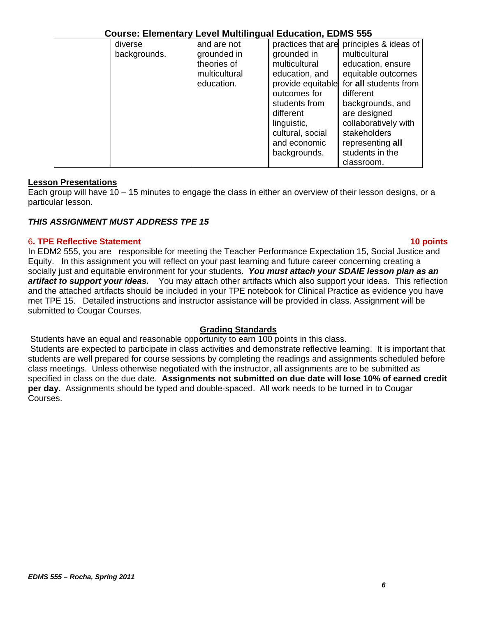| diverse      | and are not   |                   | practices that are principles & ideas of |
|--------------|---------------|-------------------|------------------------------------------|
| backgrounds. | grounded in   | grounded in       | multicultural                            |
|              | theories of   | multicultural     | education, ensure                        |
|              | multicultural | education, and    | equitable outcomes                       |
|              | education.    | provide equitable | for all students from                    |
|              |               | outcomes for      | different                                |
|              |               | students from     | backgrounds, and                         |
|              |               | different         | are designed                             |
|              |               | linguistic,       | collaboratively with                     |
|              |               | cultural, social  | stakeholders                             |
|              |               | and economic      | representing all                         |
|              |               | backgrounds.      | students in the                          |
|              |               |                   | classroom.                               |

## **Lesson Presentations**

Each group will have 10 – 15 minutes to engage the class in either an overview of their lesson designs, or a particular lesson.

## *THIS ASSIGNMENT MUST ADDRESS TPE 15*

#### 6**. TPE Reflective Statement 10 points**

#### In EDM2 555, you are responsible for meeting the Teacher Performance Expectation 15, Social Justice and Equity. In this assignment you will reflect on your past learning and future career concerning creating a socially just and equitable environment for your students. *You must attach your SDAIE lesson plan as an artifact to support your ideas.* You may attach other artifacts which also support your ideas. This reflection and the attached artifacts should be included in your TPE notebook for Clinical Practice as evidence you have met TPE 15. Detailed instructions and instructor assistance will be provided in class. Assignment will be submitted to Cougar Courses.

#### **Grading Standards**

Students have an equal and reasonable opportunity to earn 100 points in this class.

 Students are expected to participate in class activities and demonstrate reflective learning. It is important that students are well prepared for course sessions by completing the readings and assignments scheduled before class meetings. Unless otherwise negotiated with the instructor, all assignments are to be submitted as specified in class on the due date. **Assignments not submitted on due date will lose 10% of earned credit per day.** Assignments should be typed and double-spaced. All work needs to be turned in to Cougar Courses.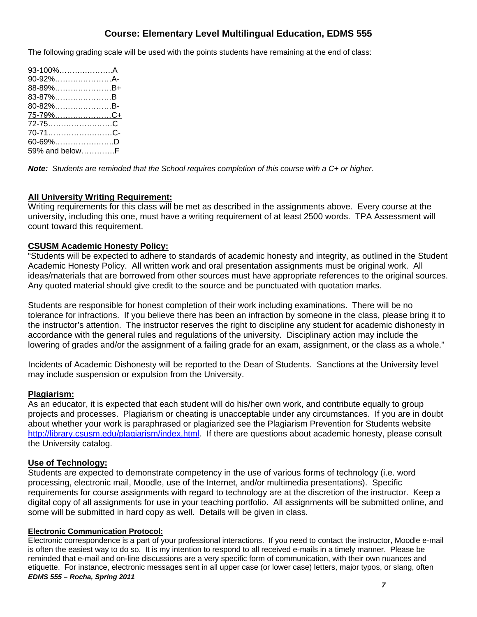The following grading scale will be used with the points students have remaining at the end of class:

| 93-100%…………………A          |  |
|--------------------------|--|
| 90-92%A-                 |  |
| 88-89%B+                 |  |
| 83-87%B                  |  |
| 80-82%B-                 |  |
| 75-7 <u>9%……………………C+</u> |  |
| 72-75C                   |  |
| 70-71C-                  |  |
| 60-69%D                  |  |
| 59% and belowF           |  |

*Note: Students are reminded that the School requires completion of this course with a C+ or higher.* 

#### **All University Writing Requirement:**

Writing requirements for this class will be met as described in the assignments above. Every course at the university, including this one, must have a writing requirement of at least 2500 words. TPA Assessment will count toward this requirement.

#### **CSUSM Academic Honesty Policy:**

"Students will be expected to adhere to standards of academic honesty and integrity, as outlined in the Student Academic Honesty Policy. All written work and oral presentation assignments must be original work. All ideas/materials that are borrowed from other sources must have appropriate references to the original sources. Any quoted material should give credit to the source and be punctuated with quotation marks.

Students are responsible for honest completion of their work including examinations. There will be no tolerance for infractions. If you believe there has been an infraction by someone in the class, please bring it to the instructor's attention. The instructor reserves the right to discipline any student for academic dishonesty in accordance with the general rules and regulations of the university. Disciplinary action may include the lowering of grades and/or the assignment of a failing grade for an exam, assignment, or the class as a whole."

Incidents of Academic Dishonesty will be reported to the Dean of Students. Sanctions at the University level may include suspension or expulsion from the University.

#### **Plagiarism:**

As an educator, it is expected that each student will do his/her own work, and contribute equally to group projects and processes. Plagiarism or cheating is unacceptable under any circumstances. If you are in doubt about whether your work is paraphrased or plagiarized see the Plagiarism Prevention for Students website http://library.csusm.edu/plagiarism/index.html. If there are questions about academic honesty, please consult the University catalog.

#### **Use of Technology:**

Students are expected to demonstrate competency in the use of various forms of technology (i.e. word processing, electronic mail, Moodle, use of the Internet, and/or multimedia presentations). Specific requirements for course assignments with regard to technology are at the discretion of the instructor. Keep a digital copy of all assignments for use in your teaching portfolio. All assignments will be submitted online, and some will be submitted in hard copy as well. Details will be given in class.

#### **Electronic Communication Protocol:**

 *EDMS 555 – Rocha, Spring 2011*  Electronic correspondence is a part of your professional interactions. If you need to contact the instructor, Moodle e-mail is often the easiest way to do so. It is my intention to respond to all received e-mails in a timely manner. Please be reminded that e-mail and on-line discussions are a very specific form of communication, with their own nuances and etiquette. For instance, electronic messages sent in all upper case (or lower case) letters, major typos, or slang, often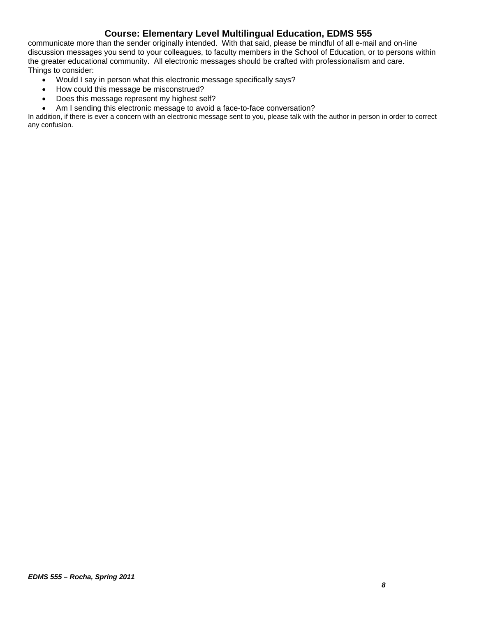communicate more than the sender originally intended. With that said, please be mindful of all e-mail and on-line discussion messages you send to your colleagues, to faculty members in the School of Education, or to persons within the greater educational community. All electronic messages should be crafted with professionalism and care. Things to consider:

- Would I say in person what this electronic message specifically says?
- How could this message be misconstrued?
- Does this message represent my highest self?
- Am I sending this electronic message to avoid a face-to-face conversation?

In addition, if there is ever a concern with an electronic message sent to you, please talk with the author in person in order to correct any confusion.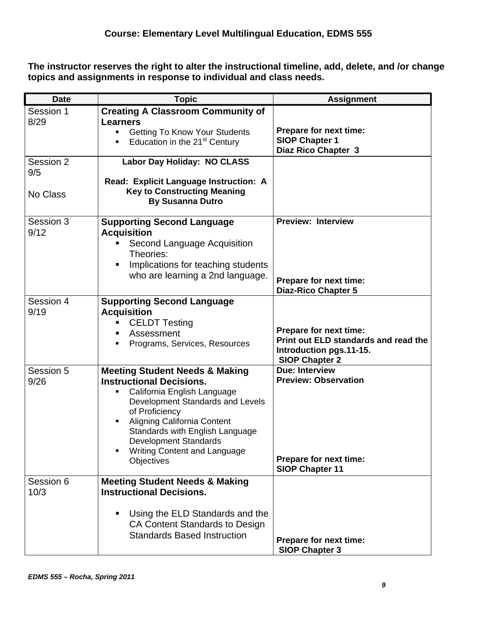**The instructor reserves the right to alter the instructional timeline, add, delete, and /or change topics and assignments in response to individual and class needs.** 

| <b>Date</b>                  | <b>Topic</b>                                                                                                                                                                                                                                                                                                                                    | <b>Assignment</b>                                                                                                  |
|------------------------------|-------------------------------------------------------------------------------------------------------------------------------------------------------------------------------------------------------------------------------------------------------------------------------------------------------------------------------------------------|--------------------------------------------------------------------------------------------------------------------|
| Session 1<br>8/29            | <b>Creating A Classroom Community of</b><br><b>Learners</b><br><b>Getting To Know Your Students</b><br>٠<br>Education in the 21 <sup>st</sup> Century<br>٠                                                                                                                                                                                      | Prepare for next time:<br><b>SIOP Chapter 1</b><br>Diaz Rico Chapter 3                                             |
| Session 2<br>9/5<br>No Class | Labor Day Holiday: NO CLASS<br>Read: Explicit Language Instruction: A<br><b>Key to Constructing Meaning</b><br><b>By Susanna Dutro</b>                                                                                                                                                                                                          |                                                                                                                    |
| Session 3<br>9/12            | <b>Supporting Second Language</b><br><b>Acquisition</b><br>Second Language Acquisition<br>Theories:<br>Implications for teaching students<br>who are learning a 2nd language.                                                                                                                                                                   | <b>Preview: Interview</b><br>Prepare for next time:<br><b>Diaz-Rico Chapter 5</b>                                  |
| Session 4<br>9/19            | <b>Supporting Second Language</b><br><b>Acquisition</b><br><b>CELDT Testing</b><br>Assessment<br>Programs, Services, Resources                                                                                                                                                                                                                  | Prepare for next time:<br>Print out ELD standards and read the<br>Introduction pgs.11-15.<br><b>SIOP Chapter 2</b> |
| Session 5<br>9/26            | <b>Meeting Student Needs &amp; Making</b><br><b>Instructional Decisions.</b><br>California English Language<br>٠<br>Development Standards and Levels<br>of Proficiency<br>Aligning California Content<br>$\blacksquare$<br>Standards with English Language<br><b>Development Standards</b><br>Writing Content and Language<br><b>Objectives</b> | <b>Due: Interview</b><br><b>Preview: Observation</b><br>Prepare for next time:<br><b>SIOP Chapter 11</b>           |
| Session 6<br>10/3            | <b>Meeting Student Needs &amp; Making</b><br><b>Instructional Decisions.</b><br>Using the ELD Standards and the<br>CA Content Standards to Design<br><b>Standards Based Instruction</b>                                                                                                                                                         | Prepare for next time:<br><b>SIOP Chapter 3</b>                                                                    |